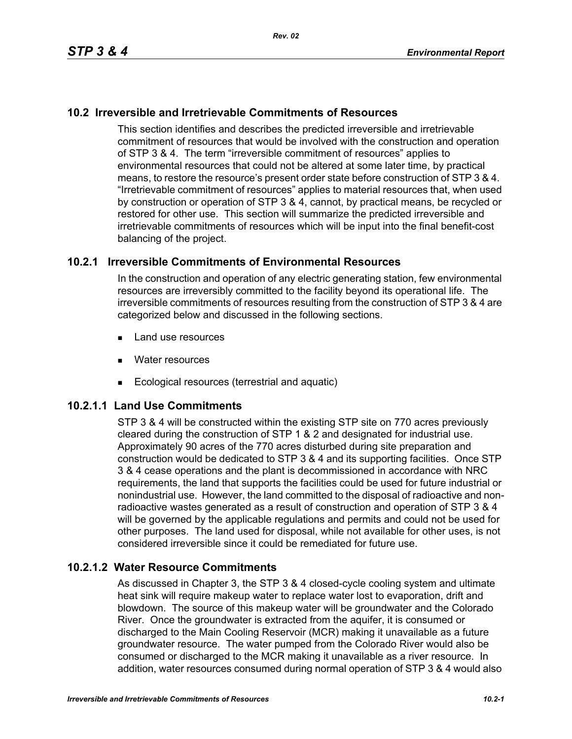## **10.2 Irreversible and Irretrievable Commitments of Resources**

This section identifies and describes the predicted irreversible and irretrievable commitment of resources that would be involved with the construction and operation of STP 3 & 4. The term "irreversible commitment of resources" applies to environmental resources that could not be altered at some later time, by practical means, to restore the resource's present order state before construction of STP 3 & 4. "Irretrievable commitment of resources" applies to material resources that, when used by construction or operation of STP 3 & 4, cannot, by practical means, be recycled or restored for other use. This section will summarize the predicted irreversible and irretrievable commitments of resources which will be input into the final benefit-cost balancing of the project.

### **10.2.1 Irreversible Commitments of Environmental Resources**

In the construction and operation of any electric generating station, few environmental resources are irreversibly committed to the facility beyond its operational life. The irreversible commitments of resources resulting from the construction of STP 3 & 4 are categorized below and discussed in the following sections.

- **Land use resources**
- **Nater resources**
- Ecological resources (terrestrial and aquatic)

## **10.2.1.1 Land Use Commitments**

STP 3 & 4 will be constructed within the existing STP site on 770 acres previously cleared during the construction of STP 1 & 2 and designated for industrial use. Approximately 90 acres of the 770 acres disturbed during site preparation and construction would be dedicated to STP 3 & 4 and its supporting facilities. Once STP 3 & 4 cease operations and the plant is decommissioned in accordance with NRC requirements, the land that supports the facilities could be used for future industrial or nonindustrial use. However, the land committed to the disposal of radioactive and nonradioactive wastes generated as a result of construction and operation of STP 3 & 4 will be governed by the applicable regulations and permits and could not be used for other purposes. The land used for disposal, while not available for other uses, is not considered irreversible since it could be remediated for future use.

#### **10.2.1.2 Water Resource Commitments**

As discussed in Chapter 3, the STP 3 & 4 closed-cycle cooling system and ultimate heat sink will require makeup water to replace water lost to evaporation, drift and blowdown. The source of this makeup water will be groundwater and the Colorado River. Once the groundwater is extracted from the aquifer, it is consumed or discharged to the Main Cooling Reservoir (MCR) making it unavailable as a future groundwater resource. The water pumped from the Colorado River would also be consumed or discharged to the MCR making it unavailable as a river resource. In addition, water resources consumed during normal operation of STP 3 & 4 would also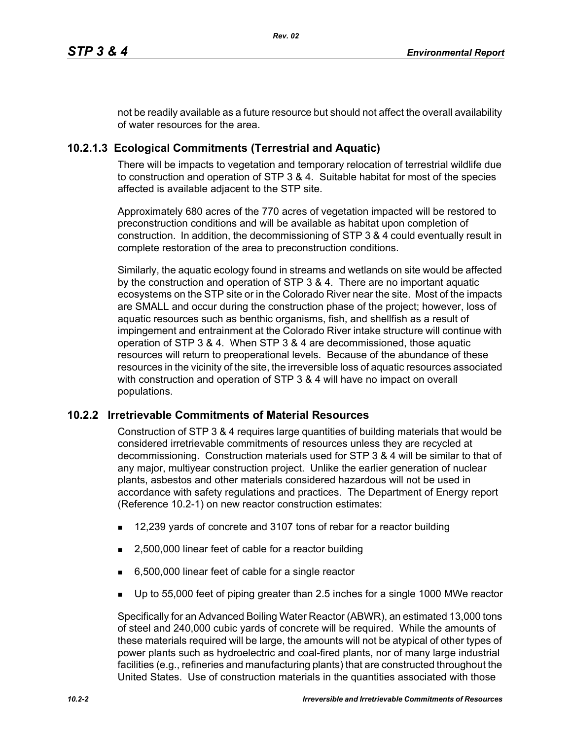not be readily available as a future resource but should not affect the overall availability of water resources for the area.

# **10.2.1.3 Ecological Commitments (Terrestrial and Aquatic)**

There will be impacts to vegetation and temporary relocation of terrestrial wildlife due to construction and operation of STP 3 & 4. Suitable habitat for most of the species affected is available adjacent to the STP site.

Approximately 680 acres of the 770 acres of vegetation impacted will be restored to preconstruction conditions and will be available as habitat upon completion of construction. In addition, the decommissioning of STP 3 & 4 could eventually result in complete restoration of the area to preconstruction conditions.

Similarly, the aquatic ecology found in streams and wetlands on site would be affected by the construction and operation of STP 3 & 4. There are no important aquatic ecosystems on the STP site or in the Colorado River near the site. Most of the impacts are SMALL and occur during the construction phase of the project; however, loss of aquatic resources such as benthic organisms, fish, and shellfish as a result of impingement and entrainment at the Colorado River intake structure will continue with operation of STP 3 & 4. When STP 3 & 4 are decommissioned, those aquatic resources will return to preoperational levels. Because of the abundance of these resources in the vicinity of the site, the irreversible loss of aquatic resources associated with construction and operation of STP 3 & 4 will have no impact on overall populations.

## **10.2.2 Irretrievable Commitments of Material Resources**

Construction of STP 3 & 4 requires large quantities of building materials that would be considered irretrievable commitments of resources unless they are recycled at decommissioning. Construction materials used for STP 3 & 4 will be similar to that of any major, multiyear construction project. Unlike the earlier generation of nuclear plants, asbestos and other materials considered hazardous will not be used in accordance with safety regulations and practices. The Department of Energy report (Reference 10.2-1) on new reactor construction estimates:

- 12,239 yards of concrete and 3107 tons of rebar for a reactor building
- 2,500,000 linear feet of cable for a reactor building
- 6,500,000 linear feet of cable for a single reactor
- Up to 55,000 feet of piping greater than 2.5 inches for a single 1000 MWe reactor

Specifically for an Advanced Boiling Water Reactor (ABWR), an estimated 13,000 tons of steel and 240,000 cubic yards of concrete will be required. While the amounts of these materials required will be large, the amounts will not be atypical of other types of power plants such as hydroelectric and coal-fired plants, nor of many large industrial facilities (e.g., refineries and manufacturing plants) that are constructed throughout the United States. Use of construction materials in the quantities associated with those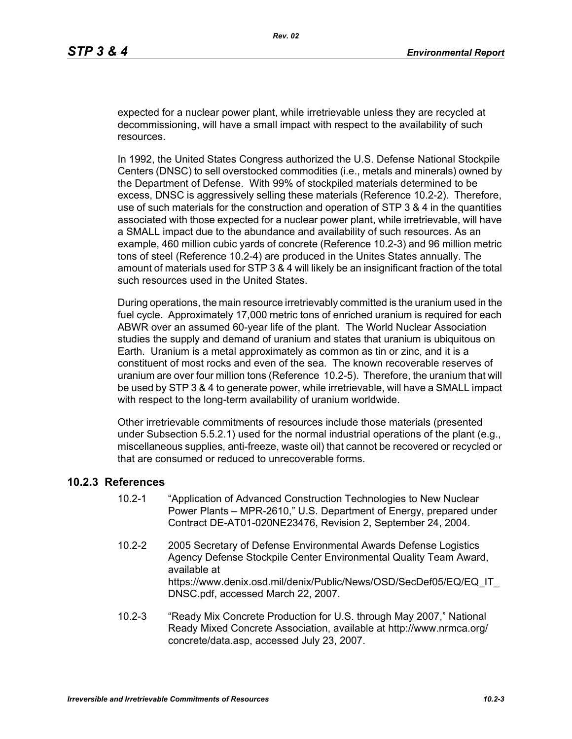expected for a nuclear power plant, while irretrievable unless they are recycled at decommissioning, will have a small impact with respect to the availability of such resources.

In 1992, the United States Congress authorized the U.S. Defense National Stockpile Centers (DNSC) to sell overstocked commodities (i.e., metals and minerals) owned by the Department of Defense. With 99% of stockpiled materials determined to be excess, DNSC is aggressively selling these materials (Reference 10.2-2). Therefore, use of such materials for the construction and operation of STP 3 & 4 in the quantities associated with those expected for a nuclear power plant, while irretrievable, will have a SMALL impact due to the abundance and availability of such resources. As an example, 460 million cubic yards of concrete (Reference 10.2-3) and 96 million metric tons of steel (Reference 10.2-4) are produced in the Unites States annually. The amount of materials used for STP 3 & 4 will likely be an insignificant fraction of the total such resources used in the United States.

During operations, the main resource irretrievably committed is the uranium used in the fuel cycle. Approximately 17,000 metric tons of enriched uranium is required for each ABWR over an assumed 60-year life of the plant. The World Nuclear Association studies the supply and demand of uranium and states that uranium is ubiquitous on Earth. Uranium is a metal approximately as common as tin or zinc, and it is a constituent of most rocks and even of the sea. The known recoverable reserves of uranium are over four million tons (Reference 10.2-5). Therefore, the uranium that will be used by STP 3 & 4 to generate power, while irretrievable, will have a SMALL impact with respect to the long-term availability of uranium worldwide.

Other irretrievable commitments of resources include those materials (presented under Subsection 5.5.2.1) used for the normal industrial operations of the plant (e.g., miscellaneous supplies, anti-freeze, waste oil) that cannot be recovered or recycled or that are consumed or reduced to unrecoverable forms.

#### **10.2.3 References**

- 10.2-1 "Application of Advanced Construction Technologies to New Nuclear Power Plants – MPR-2610," U.S. Department of Energy, prepared under Contract DE-AT01-020NE23476, Revision 2, September 24, 2004.
- 10.2-2 2005 Secretary of Defense Environmental Awards Defense Logistics Agency Defense Stockpile Center Environmental Quality Team Award, available at https://www.denix.osd.mil/denix/Public/News/OSD/SecDef05/EQ/EQ\_IT DNSC.pdf, accessed March 22, 2007.
- 10.2-3 "Ready Mix Concrete Production for U.S. through May 2007," National Ready Mixed Concrete Association, available at http://www.nrmca.org/ concrete/data.asp, accessed July 23, 2007.